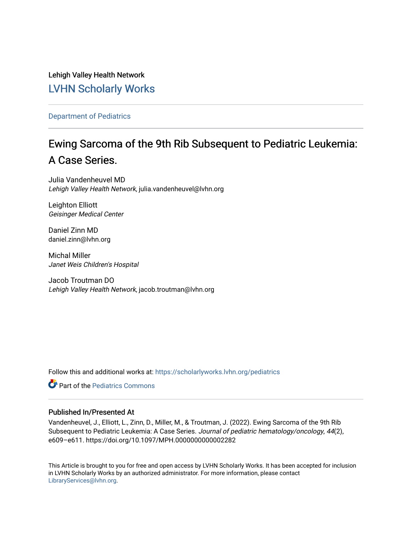Lehigh Valley Health Network [LVHN Scholarly Works](https://scholarlyworks.lvhn.org/)

[Department of Pediatrics](https://scholarlyworks.lvhn.org/pediatrics)

# Ewing Sarcoma of the 9th Rib Subsequent to Pediatric Leukemia: A Case Series.

Julia Vandenheuvel MD Lehigh Valley Health Network, julia.vandenheuvel@lvhn.org

Leighton Elliott Geisinger Medical Center

Daniel Zinn MD daniel.zinn@lvhn.org

Michal Miller Janet Weis Children's Hospital

Jacob Troutman DO Lehigh Valley Health Network, jacob.troutman@lvhn.org

Follow this and additional works at: [https://scholarlyworks.lvhn.org/pediatrics](https://scholarlyworks.lvhn.org/pediatrics?utm_source=scholarlyworks.lvhn.org%2Fpediatrics%2F454&utm_medium=PDF&utm_campaign=PDFCoverPages)

**C** Part of the [Pediatrics Commons](https://network.bepress.com/hgg/discipline/700?utm_source=scholarlyworks.lvhn.org%2Fpediatrics%2F454&utm_medium=PDF&utm_campaign=PDFCoverPages)

### Published In/Presented At

Vandenheuvel, J., Elliott, L., Zinn, D., Miller, M., & Troutman, J. (2022). Ewing Sarcoma of the 9th Rib Subsequent to Pediatric Leukemia: A Case Series. Journal of pediatric hematology/oncology, 44(2), e609–e611. https://doi.org/10.1097/MPH.0000000000002282

This Article is brought to you for free and open access by LVHN Scholarly Works. It has been accepted for inclusion in LVHN Scholarly Works by an authorized administrator. For more information, please contact [LibraryServices@lvhn.org](mailto:LibraryServices@lvhn.org).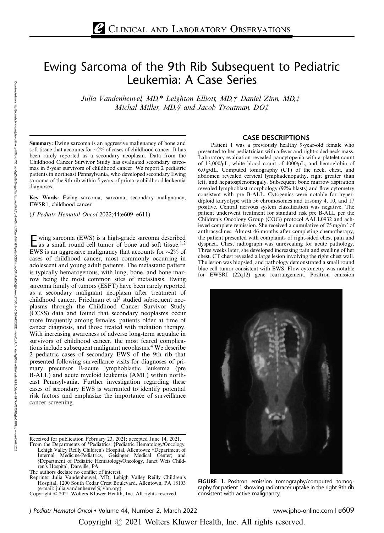## Ewing Sarcoma of the 9th Rib Subsequent to Pediatric Leukemia: A Case Series

Julia Vandenheuvel, MD,\* Leighton Elliott, MD,† Daniel Zinn, MD,‡ Michal Miller, MD, § and Jacob Troutman, DO‡

Summary: Ewing sarcoma is an aggressive malignancy of bone and soft tissue that accounts for ∼2% of cases of childhood cancer. It has been rarely reported as a secondary neoplasm. Data from the Childhood Cancer Survivor Study has evaluated secondary sarcomas in 5-year survivors of childhood cancer. We report 2 pediatric patients in northeast Pennsylvania, who developed secondary Ewing sarcoma of the 9th rib within 5 years of primary childhood leukemia diagnoses.

Key Words: Ewing sarcoma, sarcoma, secondary malignancy, EWSR1, childhood cancer

(J Pediatr Hematol Oncol 2022;44:e609–e611)

E wing sarcoma (EWS) is a high-grade sarcoma described<br>as a small round cell tumor of bone and soft tissue.<sup>1,2</sup> EWS is an aggressive malignancy that accounts for ∼2% of cases of childhood cancer, most commonly occurring in adolescent and young adult patients. The metastatic pattern is typically hematogenous, with lung, bone, and bone marrow being the most common sites of metastasis. Ewing sarcoma family of tumors (ESFT) have been rarely reported as a secondary malignant neoplasm after treatment of childhood cancer. Friedman et  $al<sup>3</sup>$  studied subsequent neoplasms through the Childhood Cancer Survivor Study (CCSS) data and found that secondary neoplasms occur more frequently among females, patients older at time of cancer diagnosis, and those treated with radiation therapy. With increasing awareness of adverse long-term sequalae in survivors of childhood cancer, the most feared complications include subsequent malignant neoplasms.<sup>4</sup> We describe 2 pediatric cases of secondary EWS of the 9th rib that presented following surveillance visits for diagnoses of primary precursor B-acute lymphoblastic leukemia (pre B-ALL) and acute myeloid leukemia (AML) within northeast Pennsylvania. Further investigation regarding these cases of secondary EWS is warranted to identify potential risk factors and emphasize the importance of surveillance cancer screening.

The authors declare no conflict of interest.

Reprints: Julia Vandenheuvel, MD, Lehigh Valley Reilly Children's Hospital, 1200 South Cedar Crest Boulevard, Allentown, PA 18103 (e-mail: [julia.vandenheuvel@lvhn.org\)](mailto:julia.vandenheuvel@lvhn.org).

#### CASE DESCRIPTIONS

Patient 1 was a previously healthy 9-year-old female who presented to her pediatrician with a fever and right-sided neck mass. Laboratory evaluation revealed pancytopenia with a platelet count of 13,000/µL, white blood count of 4000/µL, and hemoglobin of 6.0 g/dL. Computed tomography (CT) of the neck, chest, and abdomen revealed cervical lymphadenopathy, right greater than left, and hepatosplenomegaly. Subsequent bone marrow aspiration revealed lymphoblast morphology (92% blasts) and flow cytometry consistent with pre B-ALL. Cytogenics were notable for hyperdiploid karyotype with 56 chromosomes and trisomy 4, 10, and 17 positive. Central nervous system classification was negative. The patient underwent treatment for standard risk pre B-ALL per the Children's Oncology Group (COG) protocol AALL0932 and achieved complete remission. She received a cumulative of 75 mg/m2 of anthracyclines. Almost 46 months after completing chemotherapy, the patient presented with complaints of right-sided chest pain and dyspnea. Chest radiograph was unrevealing for acute pathology. Three weeks later, she developed increasing pain and swelling of her chest. CT chest revealed a large lesion involving the right chest wall. The lesion was biopsied, and pathology demonstrated a small round blue cell tumor consistent with EWS. Flow cytometry was notable for EWSRI (22q12) gene rearrangement. Positron emission



FIGURE 1. Positron emission tomography/computed tomography for patient 1 showing radiotracer uptake in the right 9th rib consistent with active malignancy.

Copyright  $\odot$  2021 Wolters Kluwer Health, Inc. All rights reserved.

Received for publication February 23, 2021; accepted June 14, 2021. From the Departments of \*Pediatrics; ‡Pediatric Hematology/Oncology,

Lehigh Valley Reilly Children's Hospital, Allentown; †Department of Internal Medicine-Pediatrics, Geisinger Medical Center; and §Department of Pediatric Hematology/Oncology, Janet Weis Children's Hospital, Danville, PA.

Copyright © 2021 Wolters Kluwer Health, Inc. All rights reserved.

J Pediatr Hematol Oncol Volume 44, Number 2, March 2022 www.jpho-online.com | e609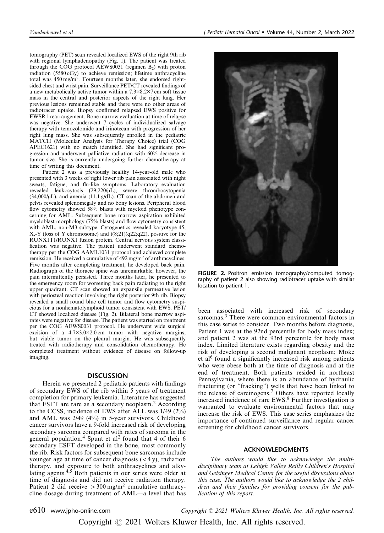tomography (PET) scan revealed localized EWS of the right 9th rib with regional lymphadenopathy (Fig. 1). The patient was treated through the COG protocol AEWS0031 (regimen  $B_2$ ) with proton radiation  $(5580 \text{ cGy})$  to achieve remission; lifetime anthracycline total was  $450 \text{ mg/m}^2$ . Fourteen months later, she endorsed rightsided chest and wrist pain. Surveillance PET/CT revealed findings of a new metabolically active tumor within a 7.3×8.2×7 cm soft tissue mass in the central and posterior aspects of the right lung. Her previous lesions remained stable and there were no other areas of radiotracer uptake. Biopsy confirmed relapsed EWS positive for EWSR1 rearrangement. Bone marrow evaluation at time of relapse was negative. She underwent 7 cycles of individualized salvage therapy with temozolomide and irinotecan with progression of her right lung mass. She was subsequently enrolled in the pediatric MATCH (Molecular Analysis for Therapy Choice) trial (COG APEC1621) with no match identified. She had significant progression and underwent palliative radiation with 60% decrease in tumor size. She is currently undergoing further chemotherapy at time of writing this document.

Patient 2 was a previously healthy 14-year-old male who presented with 3 weeks of right lower rib pain associated with night sweats, fatigue, and flu-like symptoms. Laboratory evaluation revealed leukocytosis (29,220/µL), severe thrombocytopenia  $(34,000/\mu L)$ , and anemia  $(11.1 \text{ g/dL})$ . CT scan of the abdomen and pelvis revealed splenomegaly and no bony lesions. Peripheral blood flow cytometry showed 58% blasts with myeloid phenotype concerning for AML. Subsequent bone marrow aspiration exhibited myeloblast morphology (75% blasts) and flow cytometry consistent with AML, non-M3 subtype. Cytogenetics revealed karyotype 45,  $X, -Y$  (loss of Y chromosome) and  $t(8,21)(q22; q22)$ , positive for the RUNX1T1/RUNX1 fusion protein. Central nervous system classification was negative. The patient underwent standard chemotherapy per the COG AAML1031 protocol and achieved complete remission. He received a cumulative of 492 mg/m<sup>2</sup> of anthracyclines. Five months after completing treatment, he developed back pain. Radiograph of the thoracic spine was unremarkable, however, the pain intermittently persisted. Three months later, he presented to the emergency room for worsening back pain radiating to the right upper quadrant. CT scan showed an expansile permeative lesion with periosteal reaction involving the right posterior 9th rib. Biopsy revealed a small round blue cell tumor and flow cytometry suspicious for a nonhematolymphoid tumor consistent with EWS. PET/ CT showed localized disease (Fig. 2). Bilateral bone marrow aspirates were negative for disease. The patient was started on treatment per the COG AEWS0031 protocol. He underwent wide surgical excision of a  $4.7 \times 3.0 \times 2.0$  cm tumor with negative margins, but viable tumor on the pleural margin. He was subsequently treated with radiotherapy and consolidation chemotherapy. He completed treatment without evidence of disease on follow-up imaging.

#### DISCUSSION

Herein we presented 2 pediatric patients with findings of secondary EWS of the rib within 5 years of treatment completion for primary leukemia. Literature has suggested that ESFT are rare as a secondary neoplasm.<sup>2</sup> According to the CCSS, incidence of EWS after ALL was 1/49 (2%) and AML was 2/49 (4%) in 5-year survivors. Childhood cancer survivors have a 9-fold increased risk of developing secondary sarcoma compared with rates of sarcoma in the general population.<sup>4</sup> Spunt et al<sup>2</sup> found that 4 of their 6 secondary ESFT developed in the bone, most commonly the rib. Risk factors for subsequent bone sarcomas include younger age at time of cancer diagnosis  $(< 4 y)$ , radiation therapy, and exposure to both anthracyclines and alkylating agents.4,5 Both patients in our series were older at time of diagnosis and did not receive radiation therapy. Patient 2 did receive  $> 300$  mg/m<sup>2</sup> cumulative anthracycline dosage during treatment of AML—a level that has



FIGURE 2. Positron emission tomography/computed tomography of patient 2 also showing radiotracer uptake with similar location to patient 1.

been associated with increased risk of secondary sarcomas.<sup>3</sup> There were common environmental factors in this case series to consider. Two months before diagnosis, Patient 1 was at the 92nd percentile for body mass index; and patient 2 was at the 93rd percentile for body mass index. Limited literature exists regarding obesity and the risk of developing a second malignant neoplasm; Moke et al<sup>6</sup> found a significantly increased risk among patients who were obese both at the time of diagnosis and at the end of treatment. Both patients resided in northeast Pennsylvania, where there is an abundance of hydraulic fracturing (or "fracking") wells that have been linked to the release of carcinogens.<sup>7</sup> Others have reported locally increased incidence of rare EWS.<sup>8</sup> Further investigation is warranted to evaluate environmental factors that may increase the risk of EWS. This case series emphasizes the importance of continued surveillance and regular cancer screening for childhood cancer survivors.

#### ACKNOWLEDGMENTS

The authors would like to acknowledge the multidisciplinary team at Lehigh Valley Reilly Children's Hospital and Geisinger Medical Center for the useful discussions about this case. The authors would like to acknowledge the 2 children and their families for providing consent for the publication of this report.

e610 | www.jpho-online.com  $Copyright \odot 2021 \; Wolters \; Kluwer \; Health, \; Inc. \; All \; rights \; reserved.$ 

Copyright  $\odot$  2021 Wolters Kluwer Health, Inc. All rights reserved.